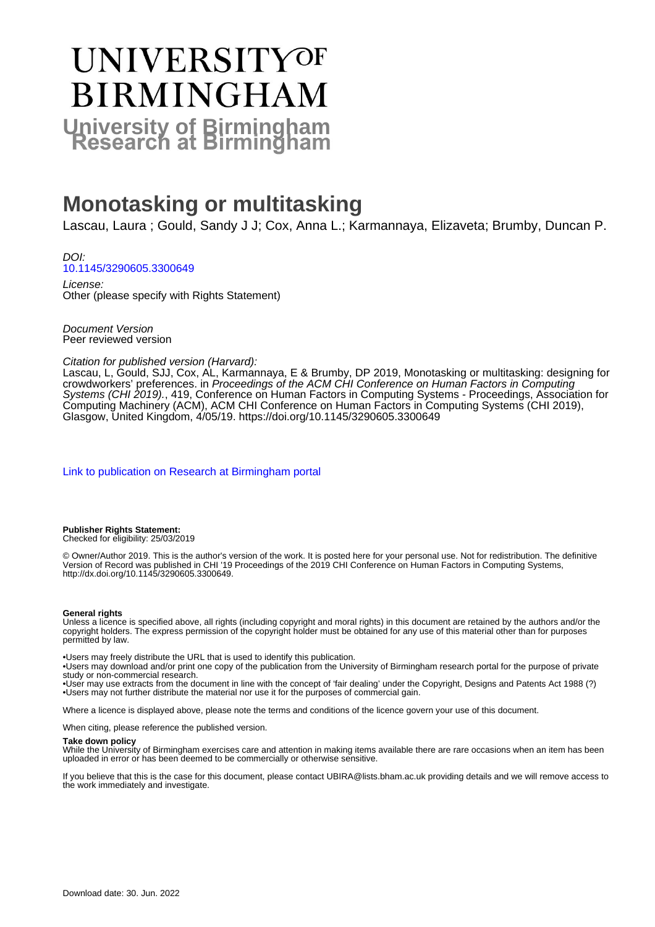# UNIVERSITYOF **BIRMINGHAM University of Birmingham**

## **Monotasking or multitasking**

Lascau, Laura ; Gould, Sandy J J; Cox, Anna L.; Karmannaya, Elizaveta; Brumby, Duncan P.

DOI: [10.1145/3290605.3300649](https://doi.org/10.1145/3290605.3300649)

License: Other (please specify with Rights Statement)

Document Version Peer reviewed version

#### Citation for published version (Harvard):

Lascau, L, Gould, SJJ, Cox, AL, Karmannaya, E & Brumby, DP 2019, Monotasking or multitasking: designing for crowdworkers' preferences. in Proceedings of the ACM CHI Conference on Human Factors in Computing Systems (CHI 2019)., 419, Conference on Human Factors in Computing Systems - Proceedings, Association for Computing Machinery (ACM), ACM CHI Conference on Human Factors in Computing Systems (CHI 2019), Glasgow, United Kingdom, 4/05/19.<https://doi.org/10.1145/3290605.3300649>

[Link to publication on Research at Birmingham portal](https://birmingham.elsevierpure.com/en/publications/8ff4ccb5-aa6e-4596-917f-f70cbc9bfc13)

**Publisher Rights Statement:** Checked for eligibility: 25/03/2019

© Owner/Author 2019. This is the author's version of the work. It is posted here for your personal use. Not for redistribution. The definitive Version of Record was published in CHI '19 Proceedings of the 2019 CHI Conference on Human Factors in Computing Systems, http://dx.doi.org/10.1145/3290605.3300649.

#### **General rights**

Unless a licence is specified above, all rights (including copyright and moral rights) in this document are retained by the authors and/or the copyright holders. The express permission of the copyright holder must be obtained for any use of this material other than for purposes permitted by law.

• Users may freely distribute the URL that is used to identify this publication.

• Users may download and/or print one copy of the publication from the University of Birmingham research portal for the purpose of private study or non-commercial research.

• User may use extracts from the document in line with the concept of 'fair dealing' under the Copyright, Designs and Patents Act 1988 (?) • Users may not further distribute the material nor use it for the purposes of commercial gain.

Where a licence is displayed above, please note the terms and conditions of the licence govern your use of this document.

When citing, please reference the published version.

#### **Take down policy**

While the University of Birmingham exercises care and attention in making items available there are rare occasions when an item has been uploaded in error or has been deemed to be commercially or otherwise sensitive.

If you believe that this is the case for this document, please contact UBIRA@lists.bham.ac.uk providing details and we will remove access to the work immediately and investigate.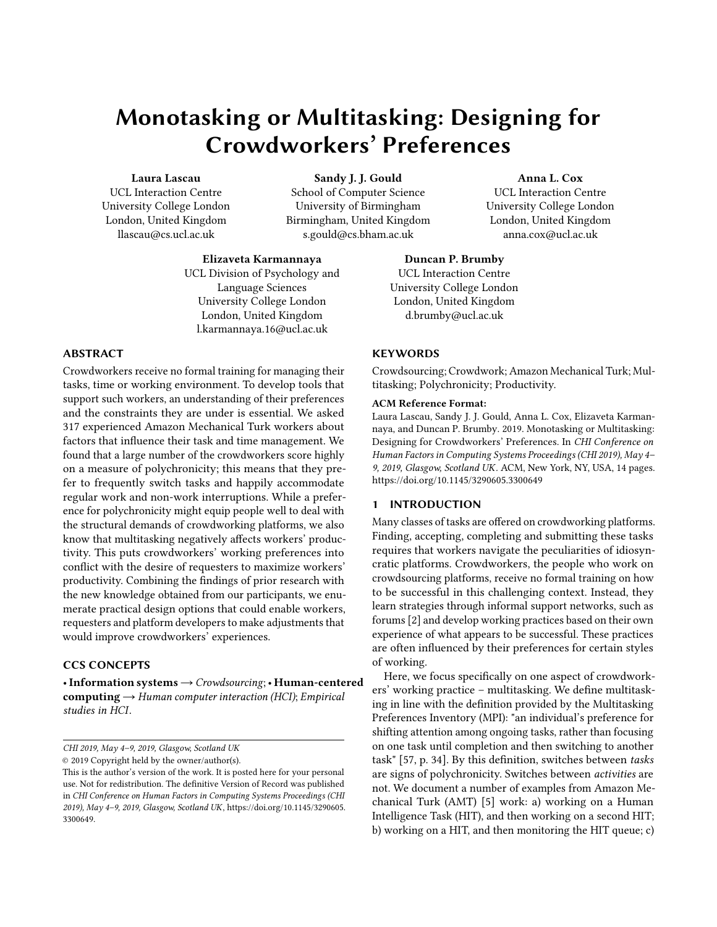### Monotasking or Multitasking: Designing for Crowdworkers' Preferences

#### Laura Lascau

UCL Interaction Centre University College London London, United Kingdom llascau@cs.ucl.ac.uk

Sandy J. J. Gould

School of Computer Science University of Birmingham Birmingham, United Kingdom s.gould@cs.bham.ac.uk

Elizaveta Karmannaya UCL Division of Psychology and Language Sciences University College London London, United Kingdom l.karmannaya.16@ucl.ac.uk

#### ABSTRACT

Crowdworkers receive no formal training for managing their tasks, time or working environment. To develop tools that support such workers, an understanding of their preferences and the constraints they are under is essential. We asked 317 experienced Amazon Mechanical Turk workers about factors that influence their task and time management. We found that a large number of the crowdworkers score highly on a measure of polychronicity; this means that they prefer to frequently switch tasks and happily accommodate regular work and non-work interruptions. While a preference for polychronicity might equip people well to deal with the structural demands of crowdworking platforms, we also know that multitasking negatively affects workers' productivity. This puts crowdworkers' working preferences into conflict with the desire of requesters to maximize workers' productivity. Combining the findings of prior research with the new knowledge obtained from our participants, we enumerate practical design options that could enable workers, requesters and platform developers to make adjustments that would improve crowdworkers' experiences.

#### CCS CONCEPTS

•Information systems→Crowdsourcing;• Human-centered computing  $\rightarrow$  Human computer interaction (HCI); Empirical studies in HCI.

CHI 2019, May 4–9, 2019, Glasgow, Scotland UK

© 2019 Copyright held by the owner/author(s).

### Anna L. Cox

UCL Interaction Centre University College London London, United Kingdom anna.cox@ucl.ac.uk

#### Duncan P. Brumby UCL Interaction Centre University College London London, United Kingdom d.brumby@ucl.ac.uk

#### **KEYWORDS**

Crowdsourcing; Crowdwork; Amazon Mechanical Turk; Multitasking; Polychronicity; Productivity.

#### ACM Reference Format:

Laura Lascau, Sandy J. J. Gould, Anna L. Cox, Elizaveta Karmannaya, and Duncan P. Brumby. 2019. Monotasking or Multitasking: Designing for Crowdworkers' Preferences. In CHI Conference on Human Factors in Computing Systems Proceedings (CHI 2019), May 4– 9, 2019, Glasgow, Scotland UK. ACM, New York, NY, USA, [14](#page-14-0) pages. <https://doi.org/10.1145/3290605.3300649>

### 1 INTRODUCTION

Many classes of tasks are offered on crowdworking platforms. Finding, accepting, completing and submitting these tasks requires that workers navigate the peculiarities of idiosyncratic platforms. Crowdworkers, the people who work on crowdsourcing platforms, receive no formal training on how to be successful in this challenging context. Instead, they learn strategies through informal support networks, such as forums [\[2\]](#page-11-0) and develop working practices based on their own experience of what appears to be successful. These practices are often influenced by their preferences for certain styles of working.

Here, we focus specifically on one aspect of crowdworkers' working practice – multitasking. We define multitasking in line with the definition provided by the Multitasking Preferences Inventory (MPI): "an individual's preference for shifting attention among ongoing tasks, rather than focusing on one task until completion and then switching to another task" [\[57,](#page-13-0) p. 34]. By this definition, switches between tasks are signs of polychronicity. Switches between activities are not. We document a number of examples from Amazon Mechanical Turk (AMT) [\[5\]](#page-12-0) work: a) working on a Human Intelligence Task (HIT), and then working on a second HIT; b) working on a HIT, and then monitoring the HIT queue; c)

This is the author's version of the work. It is posted here for your personal use. Not for redistribution. The definitive Version of Record was published in CHI Conference on Human Factors in Computing Systems Proceedings (CHI 2019), May 4–9, 2019, Glasgow, Scotland UK, [https://doi.org/10.1145/3290605.](https://doi.org/10.1145/3290605.3300649) [3300649.](https://doi.org/10.1145/3290605.3300649)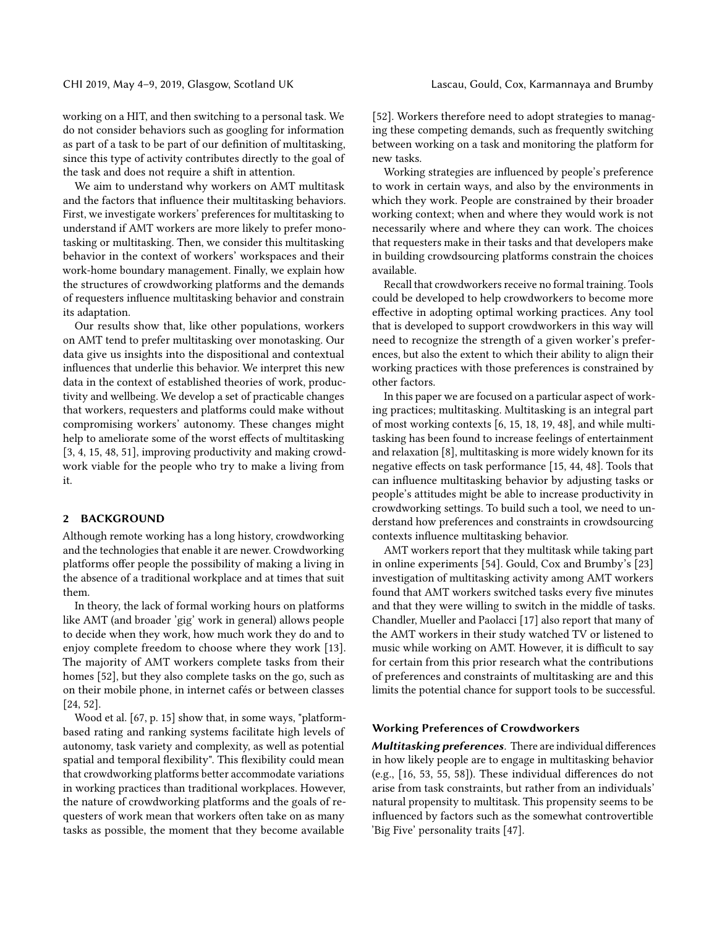working on a HIT, and then switching to a personal task. We do not consider behaviors such as googling for information as part of a task to be part of our definition of multitasking, since this type of activity contributes directly to the goal of the task and does not require a shift in attention.

We aim to understand why workers on AMT multitask and the factors that influence their multitasking behaviors. First, we investigate workers' preferences for multitasking to understand if AMT workers are more likely to prefer monotasking or multitasking. Then, we consider this multitasking behavior in the context of workers' workspaces and their work-home boundary management. Finally, we explain how the structures of crowdworking platforms and the demands of requesters influence multitasking behavior and constrain its adaptation.

Our results show that, like other populations, workers on AMT tend to prefer multitasking over monotasking. Our data give us insights into the dispositional and contextual influences that underlie this behavior. We interpret this new data in the context of established theories of work, productivity and wellbeing. We develop a set of practicable changes that workers, requesters and platforms could make without compromising workers' autonomy. These changes might help to ameliorate some of the worst effects of multitasking [\[3,](#page-11-1) [4,](#page-11-2) [15,](#page-12-1) [48,](#page-13-1) [51\]](#page-13-2), improving productivity and making crowdwork viable for the people who try to make a living from it.

#### 2 BACKGROUND

Although remote working has a long history, crowdworking and the technologies that enable it are newer. Crowdworking platforms offer people the possibility of making a living in the absence of a traditional workplace and at times that suit them.

In theory, the lack of formal working hours on platforms like AMT (and broader 'gig' work in general) allows people to decide when they work, how much work they do and to enjoy complete freedom to choose where they work [\[13\]](#page-12-2). The majority of AMT workers complete tasks from their homes [\[52\]](#page-13-3), but they also complete tasks on the go, such as on their mobile phone, in internet cafés or between classes [\[24,](#page-12-3) [52\]](#page-13-3).

Wood et al. [\[67,](#page-14-1) p. 15] show that, in some ways, "platformbased rating and ranking systems facilitate high levels of autonomy, task variety and complexity, as well as potential spatial and temporal flexibility". This flexibility could mean that crowdworking platforms better accommodate variations in working practices than traditional workplaces. However, the nature of crowdworking platforms and the goals of requesters of work mean that workers often take on as many tasks as possible, the moment that they become available

[\[52\]](#page-13-3). Workers therefore need to adopt strategies to managing these competing demands, such as frequently switching between working on a task and monitoring the platform for new tasks.

Working strategies are influenced by people's preference to work in certain ways, and also by the environments in which they work. People are constrained by their broader working context; when and where they would work is not necessarily where and where they can work. The choices that requesters make in their tasks and that developers make in building crowdsourcing platforms constrain the choices available.

Recall that crowdworkers receive no formal training. Tools could be developed to help crowdworkers to become more effective in adopting optimal working practices. Any tool that is developed to support crowdworkers in this way will need to recognize the strength of a given worker's preferences, but also the extent to which their ability to align their working practices with those preferences is constrained by other factors.

In this paper we are focused on a particular aspect of working practices; multitasking. Multitasking is an integral part of most working contexts [\[6,](#page-12-4) [15,](#page-12-1) [18,](#page-12-5) [19,](#page-12-6) [48\]](#page-13-1), and while multitasking has been found to increase feelings of entertainment and relaxation [\[8\]](#page-12-7), multitasking is more widely known for its negative effects on task performance [\[15,](#page-12-1) [44,](#page-13-4) [48\]](#page-13-1). Tools that can influence multitasking behavior by adjusting tasks or people's attitudes might be able to increase productivity in crowdworking settings. To build such a tool, we need to understand how preferences and constraints in crowdsourcing contexts influence multitasking behavior.

AMT workers report that they multitask while taking part in online experiments [\[54\]](#page-13-5). Gould, Cox and Brumby's [\[23\]](#page-12-8) investigation of multitasking activity among AMT workers found that AMT workers switched tasks every five minutes and that they were willing to switch in the middle of tasks. Chandler, Mueller and Paolacci [\[17\]](#page-12-9) also report that many of the AMT workers in their study watched TV or listened to music while working on AMT. However, it is difficult to say for certain from this prior research what the contributions of preferences and constraints of multitasking are and this limits the potential chance for support tools to be successful.

#### Working Preferences of Crowdworkers

Multitasking preferences. There are individual differences in how likely people are to engage in multitasking behavior (e.g., [\[16,](#page-12-10) [53,](#page-13-6) [55,](#page-13-7) [58\]](#page-13-8)). These individual differences do not arise from task constraints, but rather from an individuals' natural propensity to multitask. This propensity seems to be influenced by factors such as the somewhat controvertible 'Big Five' personality traits [\[47\]](#page-13-9).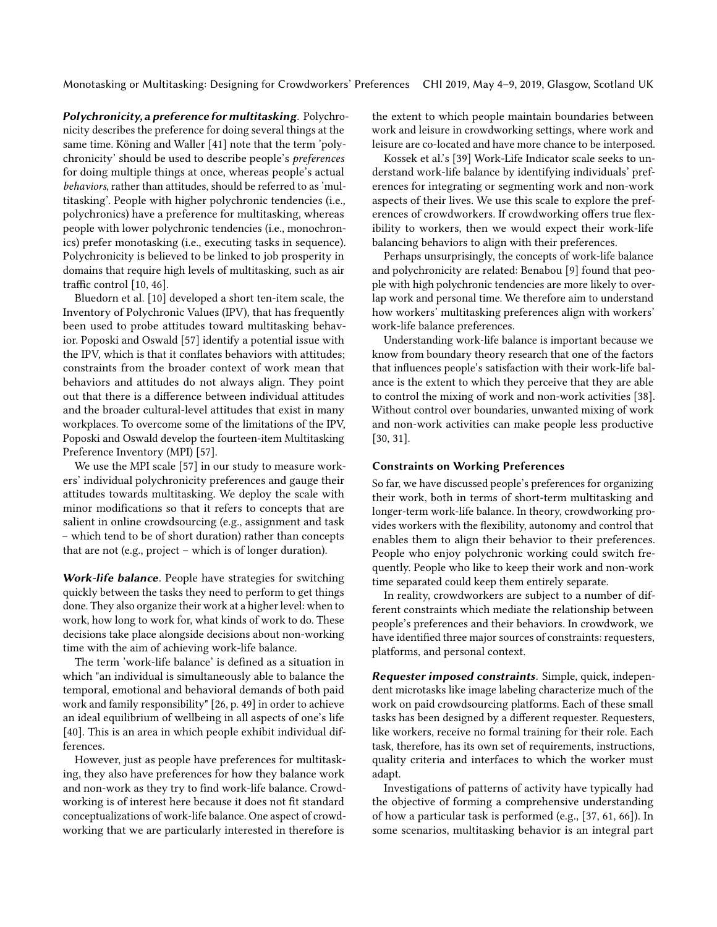Polychronicity, a preference for multitasking. Polychronicity describes the preference for doing several things at the same time. Köning and Waller [\[41\]](#page-13-10) note that the term 'polychronicity' should be used to describe people's preferences for doing multiple things at once, whereas people's actual behaviors, rather than attitudes, should be referred to as 'multitasking'. People with higher polychronic tendencies (i.e., polychronics) have a preference for multitasking, whereas people with lower polychronic tendencies (i.e., monochronics) prefer monotasking (i.e., executing tasks in sequence). Polychronicity is believed to be linked to job prosperity in domains that require high levels of multitasking, such as air traffic control [\[10,](#page-12-11) [46\]](#page-13-11).

Bluedorn et al. [\[10\]](#page-12-11) developed a short ten-item scale, the Inventory of Polychronic Values (IPV), that has frequently been used to probe attitudes toward multitasking behavior. Poposki and Oswald [\[57\]](#page-13-0) identify a potential issue with the IPV, which is that it conflates behaviors with attitudes; constraints from the broader context of work mean that behaviors and attitudes do not always align. They point out that there is a difference between individual attitudes and the broader cultural-level attitudes that exist in many workplaces. To overcome some of the limitations of the IPV, Poposki and Oswald develop the fourteen-item Multitasking Preference Inventory (MPI) [\[57\]](#page-13-0).

We use the MPI scale [\[57\]](#page-13-0) in our study to measure workers' individual polychronicity preferences and gauge their attitudes towards multitasking. We deploy the scale with minor modifications so that it refers to concepts that are salient in online crowdsourcing (e.g., assignment and task – which tend to be of short duration) rather than concepts that are not (e.g., project – which is of longer duration).

Work-life balance. People have strategies for switching quickly between the tasks they need to perform to get things done. They also organize their work at a higher level: when to work, how long to work for, what kinds of work to do. These decisions take place alongside decisions about non-working time with the aim of achieving work-life balance.

The term 'work-life balance' is defined as a situation in which "an individual is simultaneously able to balance the temporal, emotional and behavioral demands of both paid work and family responsibility" [\[26,](#page-12-12) p. 49] in order to achieve an ideal equilibrium of wellbeing in all aspects of one's life [\[40\]](#page-13-12). This is an area in which people exhibit individual differences.

However, just as people have preferences for multitasking, they also have preferences for how they balance work and non-work as they try to find work-life balance. Crowdworking is of interest here because it does not fit standard conceptualizations of work-life balance. One aspect of crowdworking that we are particularly interested in therefore is

the extent to which people maintain boundaries between work and leisure in crowdworking settings, where work and leisure are co-located and have more chance to be interposed.

Kossek et al.'s [\[39\]](#page-13-13) Work-Life Indicator scale seeks to understand work-life balance by identifying individuals' preferences for integrating or segmenting work and non-work aspects of their lives. We use this scale to explore the preferences of crowdworkers. If crowdworking offers true flexibility to workers, then we would expect their work-life balancing behaviors to align with their preferences.

Perhaps unsurprisingly, the concepts of work-life balance and polychronicity are related: Benabou [\[9\]](#page-12-13) found that people with high polychronic tendencies are more likely to overlap work and personal time. We therefore aim to understand how workers' multitasking preferences align with workers' work-life balance preferences.

Understanding work-life balance is important because we know from boundary theory research that one of the factors that influences people's satisfaction with their work-life balance is the extent to which they perceive that they are able to control the mixing of work and non-work activities [\[38\]](#page-13-14). Without control over boundaries, unwanted mixing of work and non-work activities can make people less productive [\[30,](#page-12-14) [31\]](#page-12-15).

#### Constraints on Working Preferences

So far, we have discussed people's preferences for organizing their work, both in terms of short-term multitasking and longer-term work-life balance. In theory, crowdworking provides workers with the flexibility, autonomy and control that enables them to align their behavior to their preferences. People who enjoy polychronic working could switch frequently. People who like to keep their work and non-work time separated could keep them entirely separate.

In reality, crowdworkers are subject to a number of different constraints which mediate the relationship between people's preferences and their behaviors. In crowdwork, we have identified three major sources of constraints: requesters, platforms, and personal context.

Requester imposed constraints. Simple, quick, independent microtasks like image labeling characterize much of the work on paid crowdsourcing platforms. Each of these small tasks has been designed by a different requester. Requesters, like workers, receive no formal training for their role. Each task, therefore, has its own set of requirements, instructions, quality criteria and interfaces to which the worker must adapt.

Investigations of patterns of activity have typically had the objective of forming a comprehensive understanding of how a particular task is performed (e.g., [\[37,](#page-13-15) [61,](#page-13-16) [66\]](#page-14-2)). In some scenarios, multitasking behavior is an integral part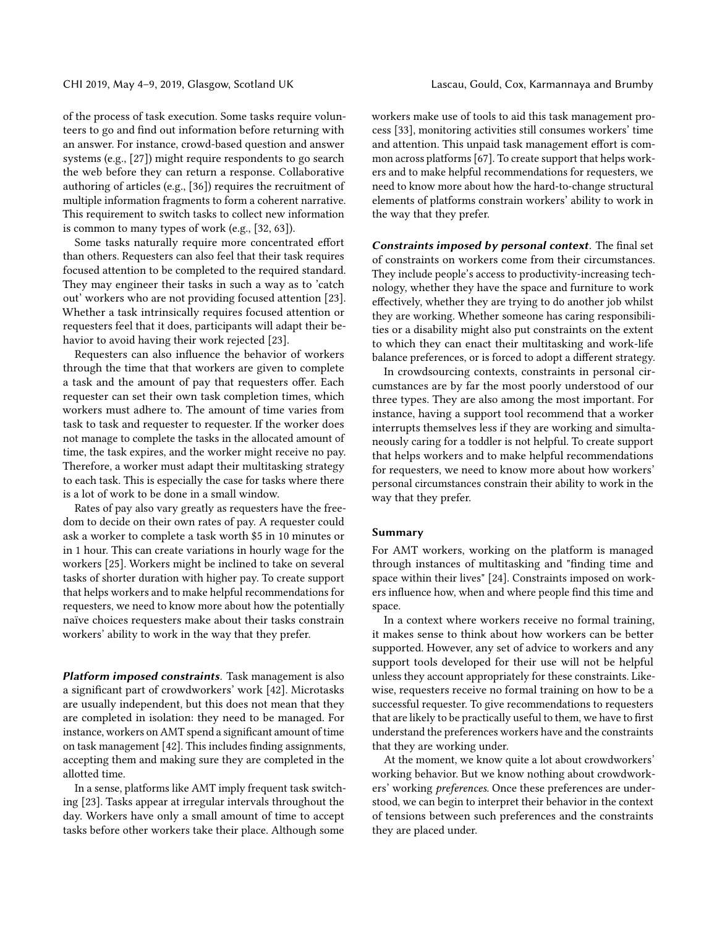of the process of task execution. Some tasks require volunteers to go and find out information before returning with an answer. For instance, crowd-based question and answer systems (e.g., [\[27\]](#page-12-16)) might require respondents to go search the web before they can return a response. Collaborative authoring of articles (e.g., [\[36\]](#page-13-17)) requires the recruitment of multiple information fragments to form a coherent narrative. This requirement to switch tasks to collect new information is common to many types of work (e.g., [\[32,](#page-12-17) [63\]](#page-13-18)).

Some tasks naturally require more concentrated effort than others. Requesters can also feel that their task requires focused attention to be completed to the required standard. They may engineer their tasks in such a way as to 'catch out' workers who are not providing focused attention [\[23\]](#page-12-8). Whether a task intrinsically requires focused attention or requesters feel that it does, participants will adapt their behavior to avoid having their work rejected [\[23\]](#page-12-8).

Requesters can also influence the behavior of workers through the time that that workers are given to complete a task and the amount of pay that requesters offer. Each requester can set their own task completion times, which workers must adhere to. The amount of time varies from task to task and requester to requester. If the worker does not manage to complete the tasks in the allocated amount of time, the task expires, and the worker might receive no pay. Therefore, a worker must adapt their multitasking strategy to each task. This is especially the case for tasks where there is a lot of work to be done in a small window.

Rates of pay also vary greatly as requesters have the freedom to decide on their own rates of pay. A requester could ask a worker to complete a task worth \$5 in 10 minutes or in 1 hour. This can create variations in hourly wage for the workers [\[25\]](#page-12-18). Workers might be inclined to take on several tasks of shorter duration with higher pay. To create support that helps workers and to make helpful recommendations for requesters, we need to know more about how the potentially naïve choices requesters make about their tasks constrain workers' ability to work in the way that they prefer.

Platform imposed constraints. Task management is also a significant part of crowdworkers' work [\[42\]](#page-13-19). Microtasks are usually independent, but this does not mean that they are completed in isolation: they need to be managed. For instance, workers on AMT spend a significant amount of time on task management [\[42\]](#page-13-19). This includes finding assignments, accepting them and making sure they are completed in the allotted time.

In a sense, platforms like AMT imply frequent task switching [\[23\]](#page-12-8). Tasks appear at irregular intervals throughout the day. Workers have only a small amount of time to accept tasks before other workers take their place. Although some

workers make use of tools to aid this task management process [\[33\]](#page-12-19), monitoring activities still consumes workers' time and attention. This unpaid task management effort is common across platforms [\[67\]](#page-14-1). To create support that helps workers and to make helpful recommendations for requesters, we need to know more about how the hard-to-change structural elements of platforms constrain workers' ability to work in the way that they prefer.

Constraints imposed by personal context. The final set of constraints on workers come from their circumstances. They include people's access to productivity-increasing technology, whether they have the space and furniture to work effectively, whether they are trying to do another job whilst they are working. Whether someone has caring responsibilities or a disability might also put constraints on the extent to which they can enact their multitasking and work-life balance preferences, or is forced to adopt a different strategy.

In crowdsourcing contexts, constraints in personal circumstances are by far the most poorly understood of our three types. They are also among the most important. For instance, having a support tool recommend that a worker interrupts themselves less if they are working and simultaneously caring for a toddler is not helpful. To create support that helps workers and to make helpful recommendations for requesters, we need to know more about how workers' personal circumstances constrain their ability to work in the way that they prefer.

#### Summary

For AMT workers, working on the platform is managed through instances of multitasking and "finding time and space within their lives" [\[24\]](#page-12-3). Constraints imposed on workers influence how, when and where people find this time and space.

In a context where workers receive no formal training, it makes sense to think about how workers can be better supported. However, any set of advice to workers and any support tools developed for their use will not be helpful unless they account appropriately for these constraints. Likewise, requesters receive no formal training on how to be a successful requester. To give recommendations to requesters that are likely to be practically useful to them, we have to first understand the preferences workers have and the constraints that they are working under.

At the moment, we know quite a lot about crowdworkers' working behavior. But we know nothing about crowdworkers' working preferences. Once these preferences are understood, we can begin to interpret their behavior in the context of tensions between such preferences and the constraints they are placed under.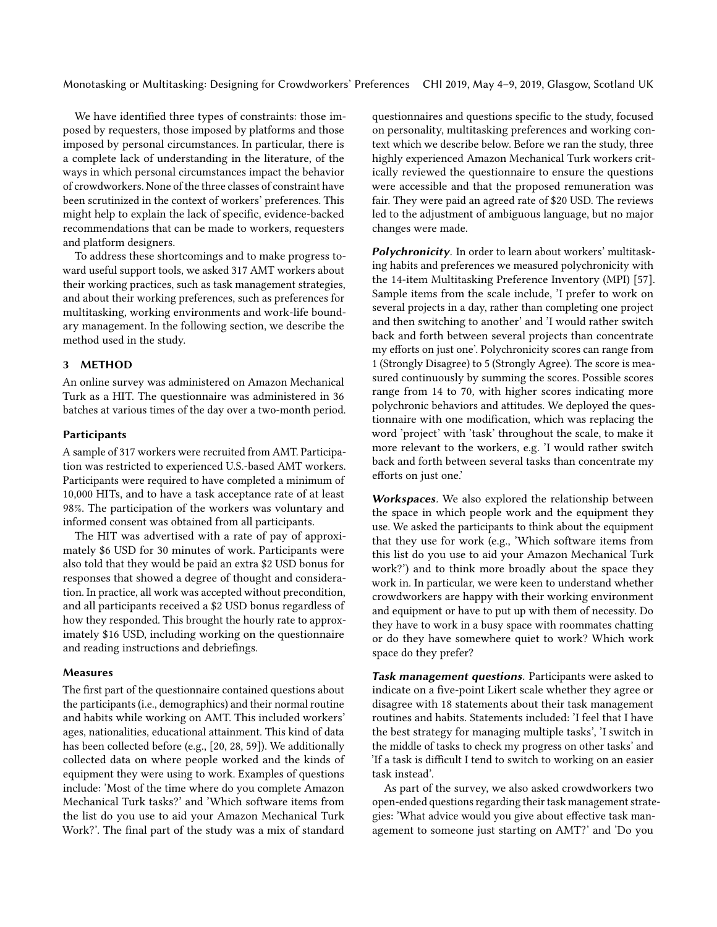We have identified three types of constraints: those imposed by requesters, those imposed by platforms and those imposed by personal circumstances. In particular, there is a complete lack of understanding in the literature, of the ways in which personal circumstances impact the behavior of crowdworkers. None of the three classes of constraint have been scrutinized in the context of workers' preferences. This might help to explain the lack of specific, evidence-backed recommendations that can be made to workers, requesters and platform designers.

To address these shortcomings and to make progress toward useful support tools, we asked 317 AMT workers about their working practices, such as task management strategies, and about their working preferences, such as preferences for multitasking, working environments and work-life boundary management. In the following section, we describe the method used in the study.

#### 3 METHOD

An online survey was administered on Amazon Mechanical Turk as a HIT. The questionnaire was administered in 36 batches at various times of the day over a two-month period.

#### **Participants**

A sample of 317 workers were recruited from AMT. Participation was restricted to experienced U.S.-based AMT workers. Participants were required to have completed a minimum of 10,000 HITs, and to have a task acceptance rate of at least 98%. The participation of the workers was voluntary and informed consent was obtained from all participants.

The HIT was advertised with a rate of pay of approximately \$6 USD for 30 minutes of work. Participants were also told that they would be paid an extra \$2 USD bonus for responses that showed a degree of thought and consideration. In practice, all work was accepted without precondition, and all participants received a \$2 USD bonus regardless of how they responded. This brought the hourly rate to approximately \$16 USD, including working on the questionnaire and reading instructions and debriefings.

#### Measures

The first part of the questionnaire contained questions about the participants (i.e., demographics) and their normal routine and habits while working on AMT. This included workers' ages, nationalities, educational attainment. This kind of data has been collected before (e.g., [\[20,](#page-12-20) [28,](#page-12-21) [59\]](#page-13-20)). We additionally collected data on where people worked and the kinds of equipment they were using to work. Examples of questions include: 'Most of the time where do you complete Amazon Mechanical Turk tasks?' and 'Which software items from the list do you use to aid your Amazon Mechanical Turk Work?'. The final part of the study was a mix of standard

questionnaires and questions specific to the study, focused on personality, multitasking preferences and working context which we describe below. Before we ran the study, three highly experienced Amazon Mechanical Turk workers critically reviewed the questionnaire to ensure the questions were accessible and that the proposed remuneration was fair. They were paid an agreed rate of \$20 USD. The reviews led to the adjustment of ambiguous language, but no major changes were made.

Polychronicity. In order to learn about workers' multitasking habits and preferences we measured polychronicity with the 14-item Multitasking Preference Inventory (MPI) [\[57\]](#page-13-0). Sample items from the scale include, 'I prefer to work on several projects in a day, rather than completing one project and then switching to another' and 'I would rather switch back and forth between several projects than concentrate my efforts on just one'. Polychronicity scores can range from 1 (Strongly Disagree) to 5 (Strongly Agree). The score is measured continuously by summing the scores. Possible scores range from 14 to 70, with higher scores indicating more polychronic behaviors and attitudes. We deployed the questionnaire with one modification, which was replacing the word 'project' with 'task' throughout the scale, to make it more relevant to the workers, e.g. 'I would rather switch back and forth between several tasks than concentrate my efforts on just one.'

Workspaces. We also explored the relationship between the space in which people work and the equipment they use. We asked the participants to think about the equipment that they use for work (e.g., 'Which software items from this list do you use to aid your Amazon Mechanical Turk work?') and to think more broadly about the space they work in. In particular, we were keen to understand whether crowdworkers are happy with their working environment and equipment or have to put up with them of necessity. Do they have to work in a busy space with roommates chatting or do they have somewhere quiet to work? Which work space do they prefer?

Task management questions. Participants were asked to indicate on a five-point Likert scale whether they agree or disagree with 18 statements about their task management routines and habits. Statements included: 'I feel that I have the best strategy for managing multiple tasks', 'I switch in the middle of tasks to check my progress on other tasks' and 'If a task is difficult I tend to switch to working on an easier task instead'.

As part of the survey, we also asked crowdworkers two open-ended questions regarding their task management strategies: 'What advice would you give about effective task management to someone just starting on AMT?' and 'Do you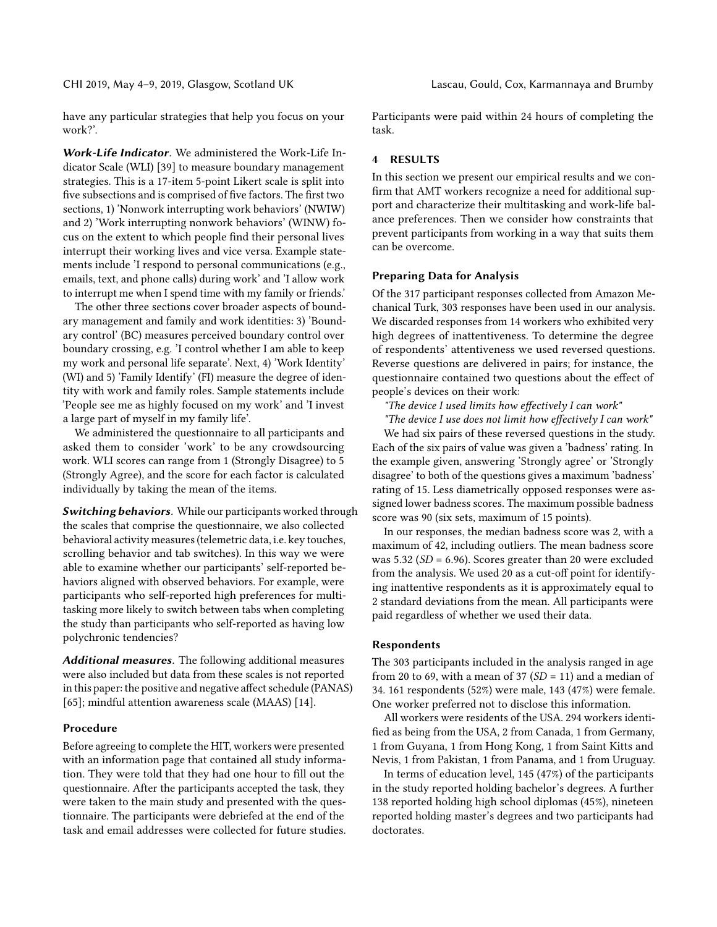have any particular strategies that help you focus on your work?'.

Work-Life Indicator. We administered the Work-Life Indicator Scale (WLI) [\[39\]](#page-13-13) to measure boundary management strategies. This is a 17-item 5-point Likert scale is split into five subsections and is comprised of five factors. The first two sections, 1) 'Nonwork interrupting work behaviors' (NWIW) and 2) 'Work interrupting nonwork behaviors' (WINW) focus on the extent to which people find their personal lives interrupt their working lives and vice versa. Example statements include 'I respond to personal communications (e.g., emails, text, and phone calls) during work' and 'I allow work to interrupt me when I spend time with my family or friends.'

The other three sections cover broader aspects of boundary management and family and work identities: 3) 'Boundary control' (BC) measures perceived boundary control over boundary crossing, e.g. 'I control whether I am able to keep my work and personal life separate'. Next, 4) 'Work Identity' (WI) and 5) 'Family Identify' (FI) measure the degree of identity with work and family roles. Sample statements include 'People see me as highly focused on my work' and 'I invest a large part of myself in my family life'.

We administered the questionnaire to all participants and asked them to consider 'work' to be any crowdsourcing work. WLI scores can range from 1 (Strongly Disagree) to 5 (Strongly Agree), and the score for each factor is calculated individually by taking the mean of the items.

Switching behaviors. While our participants worked through the scales that comprise the questionnaire, we also collected behavioral activity measures (telemetric data, i.e. key touches, scrolling behavior and tab switches). In this way we were able to examine whether our participants' self-reported behaviors aligned with observed behaviors. For example, were participants who self-reported high preferences for multitasking more likely to switch between tabs when completing the study than participants who self-reported as having low polychronic tendencies?

Additional measures. The following additional measures were also included but data from these scales is not reported in this paper: the positive and negative affect schedule (PANAS) [\[65\]](#page-13-21); mindful attention awareness scale (MAAS) [\[14\]](#page-12-22).

#### Procedure

Before agreeing to complete the HIT, workers were presented with an information page that contained all study information. They were told that they had one hour to fill out the questionnaire. After the participants accepted the task, they were taken to the main study and presented with the questionnaire. The participants were debriefed at the end of the task and email addresses were collected for future studies. Participants were paid within 24 hours of completing the task.

#### 4 RESULTS

In this section we present our empirical results and we confirm that AMT workers recognize a need for additional support and characterize their multitasking and work-life balance preferences. Then we consider how constraints that prevent participants from working in a way that suits them can be overcome.

#### Preparing Data for Analysis

Of the 317 participant responses collected from Amazon Mechanical Turk, 303 responses have been used in our analysis. We discarded responses from 14 workers who exhibited very high degrees of inattentiveness. To determine the degree of respondents' attentiveness we used reversed questions. Reverse questions are delivered in pairs; for instance, the questionnaire contained two questions about the effect of people's devices on their work:

"The device I used limits how effectively I can work"

"The device I use does not limit how effectively I can work" We had six pairs of these reversed questions in the study. Each of the six pairs of value was given a 'badness' rating. In the example given, answering 'Strongly agree' or 'Strongly disagree' to both of the questions gives a maximum 'badness' rating of 15. Less diametrically opposed responses were assigned lower badness scores. The maximum possible badness score was 90 (six sets, maximum of 15 points).

In our responses, the median badness score was 2, with a maximum of 42, including outliers. The mean badness score was 5.32 (SD = 6.96). Scores greater than 20 were excluded from the analysis. We used 20 as a cut-off point for identifying inattentive respondents as it is approximately equal to 2 standard deviations from the mean. All participants were paid regardless of whether we used their data.

#### Respondents

The 303 participants included in the analysis ranged in age from 20 to 69, with a mean of 37 ( $SD = 11$ ) and a median of 34. 161 respondents (52%) were male, 143 (47%) were female. One worker preferred not to disclose this information.

All workers were residents of the USA. 294 workers identified as being from the USA, 2 from Canada, 1 from Germany, 1 from Guyana, 1 from Hong Kong, 1 from Saint Kitts and Nevis, 1 from Pakistan, 1 from Panama, and 1 from Uruguay.

In terms of education level, 145 (47%) of the participants in the study reported holding bachelor's degrees. A further 138 reported holding high school diplomas (45%), nineteen reported holding master's degrees and two participants had doctorates.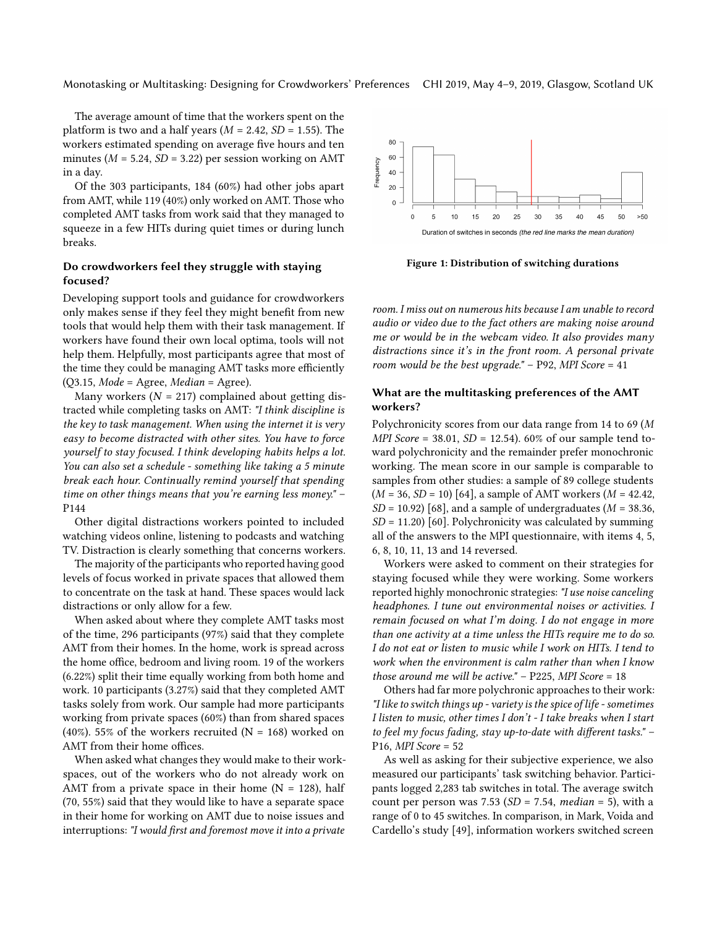The average amount of time that the workers spent on the platform is two and a half years ( $M = 2.42$ ,  $SD = 1.55$ ). The workers estimated spending on average five hours and ten minutes ( $M = 5.24$ ,  $SD = 3.22$ ) per session working on AMT in a day.

Of the 303 participants, 184 (60%) had other jobs apart from AMT, while 119 (40%) only worked on AMT. Those who completed AMT tasks from work said that they managed to squeeze in a few HITs during quiet times or during lunch breaks.

#### Do crowdworkers feel they struggle with staying focused?

Developing support tools and guidance for crowdworkers only makes sense if they feel they might benefit from new tools that would help them with their task management. If workers have found their own local optima, tools will not help them. Helpfully, most participants agree that most of the time they could be managing AMT tasks more efficiently  $(Q3.15, Mode = Agree, Median = Agree).$ 

Many workers ( $N = 217$ ) complained about getting distracted while completing tasks on AMT: "I think discipline is the key to task management. When using the internet it is very easy to become distracted with other sites. You have to force yourself to stay focused. I think developing habits helps a lot. You can also set a schedule - something like taking a 5 minute break each hour. Continually remind yourself that spending time on other things means that you're earning less money." – P144

Other digital distractions workers pointed to included watching videos online, listening to podcasts and watching TV. Distraction is clearly something that concerns workers.

The majority of the participants who reported having good levels of focus worked in private spaces that allowed them to concentrate on the task at hand. These spaces would lack distractions or only allow for a few.

When asked about where they complete AMT tasks most of the time, 296 participants (97%) said that they complete AMT from their homes. In the home, work is spread across the home office, bedroom and living room. 19 of the workers (6.22%) split their time equally working from both home and work. 10 participants (3.27%) said that they completed AMT tasks solely from work. Our sample had more participants working from private spaces (60%) than from shared spaces (40%). 55% of the workers recruited ( $N = 168$ ) worked on AMT from their home offices.

When asked what changes they would make to their workspaces, out of the workers who do not already work on AMT from a private space in their home  $(N = 128)$ , half (70, 55%) said that they would like to have a separate space in their home for working on AMT due to noise issues and interruptions: "I would first and foremost move it into a private



Figure 1: Distribution of switching durations

room. I miss out on numerous hits because I am unable to record audio or video due to the fact others are making noise around me or would be in the webcam video. It also provides many distractions since it's in the front room. A personal private room would be the best upgrade."  $-$  P92, MPI Score = 41

#### What are the multitasking preferences of the AMT workers?

Polychronicity scores from our data range from 14 to 69 (M MPI Score = 38.01,  $SD = 12.54$ ). 60% of our sample tend toward polychronicity and the remainder prefer monochronic working. The mean score in our sample is comparable to samples from other studies: a sample of 89 college students  $(M = 36, SD = 10)$  [\[64\]](#page-13-22), a sample of AMT workers  $(M = 42.42,$  $SD = 10.92$  [\[68\]](#page-14-3), and a sample of undergraduates ( $M = 38.36$ ,  $SD = 11.20$  [\[60\]](#page-13-23). Polychronicity was calculated by summing all of the answers to the MPI questionnaire, with items 4, 5, 6, 8, 10, 11, 13 and 14 reversed.

Workers were asked to comment on their strategies for staying focused while they were working. Some workers reported highly monochronic strategies: "I use noise canceling headphones. I tune out environmental noises or activities. I remain focused on what I'm doing. I do not engage in more than one activity at a time unless the HITs require me to do so. I do not eat or listen to music while I work on HITs. I tend to work when the environment is calm rather than when I know those around me will be active."  $-$  P225, MPI Score = 18

Others had far more polychronic approaches to their work: "I like to switch things up - variety is the spice of life - sometimes I listen to music, other times I don't - I take breaks when I start to feel my focus fading, stay up-to-date with different tasks." – P16, MPI Score = 52

As well as asking for their subjective experience, we also measured our participants' task switching behavior. Participants logged 2,283 tab switches in total. The average switch count per person was 7.53 ( $SD = 7.54$ , median = 5), with a range of 0 to 45 switches. In comparison, in Mark, Voida and Cardello's study [\[49\]](#page-13-24), information workers switched screen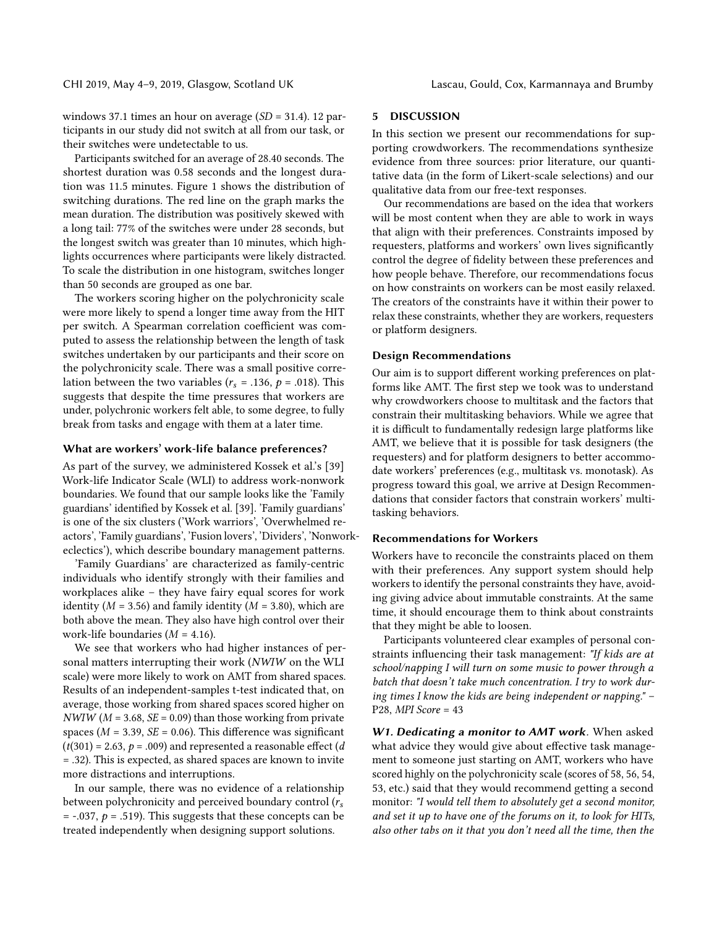CHI 2019, May 4–9, 2019, Glasgow, Scotland UK Lascau, Gould, Cox, Karmannaya and Brumby

windows 37.1 times an hour on average (SD = 31.4). 12 participants in our study did not switch at all from our task, or their switches were undetectable to us.

Participants switched for an average of 28.40 seconds. The shortest duration was 0.58 seconds and the longest duration was 11.5 minutes. Figure 1 shows the distribution of switching durations. The red line on the graph marks the mean duration. The distribution was positively skewed with a long tail: 77% of the switches were under 28 seconds, but the longest switch was greater than 10 minutes, which highlights occurrences where participants were likely distracted. To scale the distribution in one histogram, switches longer than 50 seconds are grouped as one bar.

The workers scoring higher on the polychronicity scale were more likely to spend a longer time away from the HIT per switch. A Spearman correlation coefficient was computed to assess the relationship between the length of task switches undertaken by our participants and their score on the polychronicity scale. There was a small positive correlation between the two variables ( $r_s = .136$ ,  $p = .018$ ). This suggests that despite the time pressures that workers are under, polychronic workers felt able, to some degree, to fully break from tasks and engage with them at a later time.

#### What are workers' work-life balance preferences?

As part of the survey, we administered Kossek et al.'s [\[39\]](#page-13-13) Work-life Indicator Scale (WLI) to address work-nonwork boundaries. We found that our sample looks like the 'Family guardians' identified by Kossek et al. [\[39\]](#page-13-13). 'Family guardians' is one of the six clusters ('Work warriors', 'Overwhelmed reactors', 'Family guardians', 'Fusion lovers', 'Dividers', 'Nonworkeclectics'), which describe boundary management patterns.

'Family Guardians' are characterized as family-centric individuals who identify strongly with their families and workplaces alike – they have fairy equal scores for work identity ( $M = 3.56$ ) and family identity ( $M = 3.80$ ), which are both above the mean. They also have high control over their work-life boundaries  $(M = 4.16)$ .

We see that workers who had higher instances of personal matters interrupting their work (NWIW on the WLI scale) were more likely to work on AMT from shared spaces. Results of an independent-samples t-test indicated that, on average, those working from shared spaces scored higher on  $NWIW$  ( $M = 3.68$ ,  $SE = 0.09$ ) than those working from private spaces ( $M = 3.39$ ,  $SE = 0.06$ ). This difference was significant  $(t(301) = 2.63, p = .009)$  and represented a reasonable effect (d = .32). This is expected, as shared spaces are known to invite more distractions and interruptions.

In our sample, there was no evidence of a relationship between polychronicity and perceived boundary control  $(r_s)$  $=$  -.037,  $p = .519$ ). This suggests that these concepts can be treated independently when designing support solutions.

#### 5 DISCUSSION

In this section we present our recommendations for supporting crowdworkers. The recommendations synthesize evidence from three sources: prior literature, our quantitative data (in the form of Likert-scale selections) and our qualitative data from our free-text responses.

Our recommendations are based on the idea that workers will be most content when they are able to work in ways that align with their preferences. Constraints imposed by requesters, platforms and workers' own lives significantly control the degree of fidelity between these preferences and how people behave. Therefore, our recommendations focus on how constraints on workers can be most easily relaxed. The creators of the constraints have it within their power to relax these constraints, whether they are workers, requesters or platform designers.

#### Design Recommendations

Our aim is to support different working preferences on platforms like AMT. The first step we took was to understand why crowdworkers choose to multitask and the factors that constrain their multitasking behaviors. While we agree that it is difficult to fundamentally redesign large platforms like AMT, we believe that it is possible for task designers (the requesters) and for platform designers to better accommodate workers' preferences (e.g., multitask vs. monotask). As progress toward this goal, we arrive at Design Recommendations that consider factors that constrain workers' multitasking behaviors.

#### Recommendations for Workers

Workers have to reconcile the constraints placed on them with their preferences. Any support system should help workers to identify the personal constraints they have, avoiding giving advice about immutable constraints. At the same time, it should encourage them to think about constraints that they might be able to loosen.

Participants volunteered clear examples of personal constraints influencing their task management: "If kids are at school/napping I will turn on some music to power through a batch that doesn't take much concentration. I try to work during times I know the kids are being independent or napping." – P28, MPI Score = 43

W1. Dedicating a monitor to AMT work. When asked what advice they would give about effective task management to someone just starting on AMT, workers who have scored highly on the polychronicity scale (scores of 58, 56, 54, 53, etc.) said that they would recommend getting a second monitor: "I would tell them to absolutely get a second monitor, and set it up to have one of the forums on it, to look for HITs, also other tabs on it that you don't need all the time, then the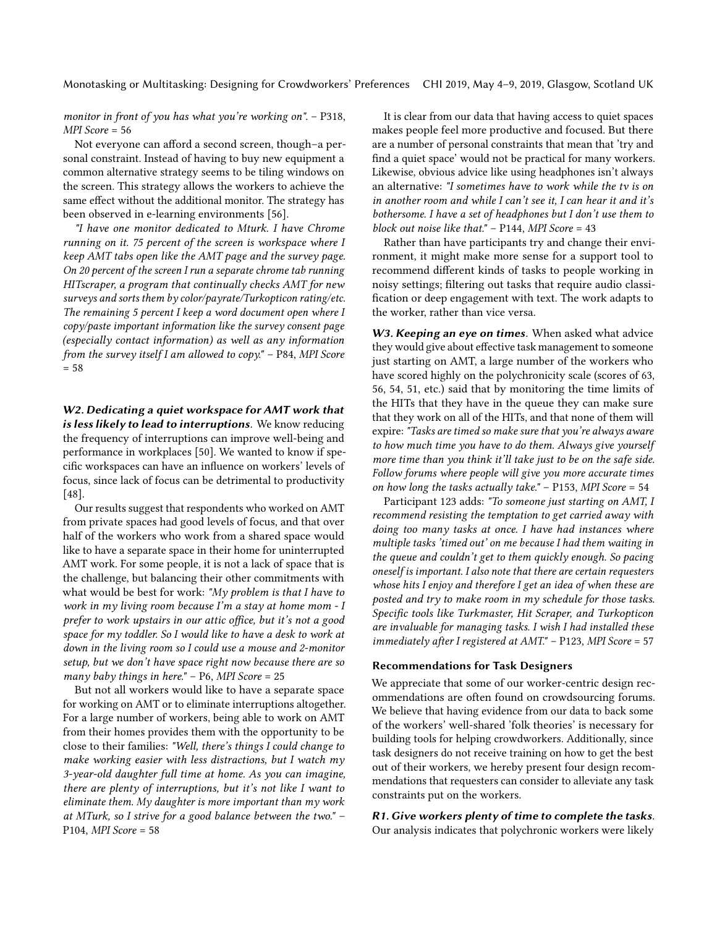monitor in front of you has what you're working on". - P318, MPI Score = 56

Not everyone can afford a second screen, though–a personal constraint. Instead of having to buy new equipment a common alternative strategy seems to be tiling windows on the screen. This strategy allows the workers to achieve the same effect without the additional monitor. The strategy has been observed in e-learning environments [\[56\]](#page-13-25).

"I have one monitor dedicated to Mturk. I have Chrome running on it. 75 percent of the screen is workspace where I keep AMT tabs open like the AMT page and the survey page. On 20 percent of the screen I run a separate chrome tab running HITscraper, a program that continually checks AMT for new surveys and sorts them by color/payrate/Turkopticon rating/etc. The remaining 5 percent I keep a word document open where I copy/paste important information like the survey consent page (especially contact information) as well as any information from the survey itself I am allowed to copy." – P84, MPI Score  $= 58$ 

W2. Dedicating a quiet workspace for AMT work that is less likely to lead to interruptions. We know reducing the frequency of interruptions can improve well-being and performance in workplaces [\[50\]](#page-13-26). We wanted to know if specific workspaces can have an influence on workers' levels of focus, since lack of focus can be detrimental to productivity [\[48\]](#page-13-1).

Our results suggest that respondents who worked on AMT from private spaces had good levels of focus, and that over half of the workers who work from a shared space would like to have a separate space in their home for uninterrupted AMT work. For some people, it is not a lack of space that is the challenge, but balancing their other commitments with what would be best for work: "My problem is that I have to work in my living room because I'm a stay at home mom - I prefer to work upstairs in our attic office, but it's not a good space for my toddler. So I would like to have a desk to work at down in the living room so I could use a mouse and 2-monitor setup, but we don't have space right now because there are so many baby things in here."  $-$  P6, MPI Score = 25

But not all workers would like to have a separate space for working on AMT or to eliminate interruptions altogether. For a large number of workers, being able to work on AMT from their homes provides them with the opportunity to be close to their families: "Well, there's things I could change to make working easier with less distractions, but I watch my 3-year-old daughter full time at home. As you can imagine, there are plenty of interruptions, but it's not like I want to eliminate them. My daughter is more important than my work at MTurk, so I strive for a good balance between the two." – P104, MPI Score = 58

It is clear from our data that having access to quiet spaces makes people feel more productive and focused. But there are a number of personal constraints that mean that 'try and find a quiet space' would not be practical for many workers. Likewise, obvious advice like using headphones isn't always an alternative: "I sometimes have to work while the tv is on in another room and while I can't see it, I can hear it and it's bothersome. I have a set of headphones but I don't use them to block out noise like that."  $-$  P144, MPI Score = 43

Rather than have participants try and change their environment, it might make more sense for a support tool to recommend different kinds of tasks to people working in noisy settings; filtering out tasks that require audio classification or deep engagement with text. The work adapts to the worker, rather than vice versa.

W3. Keeping an eye on times. When asked what advice they would give about effective task management to someone just starting on AMT, a large number of the workers who have scored highly on the polychronicity scale (scores of 63, 56, 54, 51, etc.) said that by monitoring the time limits of the HITs that they have in the queue they can make sure that they work on all of the HITs, and that none of them will expire: "Tasks are timed so make sure that you're always aware to how much time you have to do them. Always give yourself more time than you think it'll take just to be on the safe side. Follow forums where people will give you more accurate times on how long the tasks actually take." – P153, MPI Score = 54

Participant 123 adds: "To someone just starting on AMT, I recommend resisting the temptation to get carried away with doing too many tasks at once. I have had instances where multiple tasks 'timed out' on me because I had them waiting in the queue and couldn't get to them quickly enough. So pacing oneself is important. I also note that there are certain requesters whose hits I enjoy and therefore I get an idea of when these are posted and try to make room in my schedule for those tasks. Specific tools like Turkmaster, Hit Scraper, and Turkopticon are invaluable for managing tasks. I wish I had installed these immediately after I registered at AMT." – P123, MPI Score = 57

#### Recommendations for Task Designers

We appreciate that some of our worker-centric design recommendations are often found on crowdsourcing forums. We believe that having evidence from our data to back some of the workers' well-shared 'folk theories' is necessary for building tools for helping crowdworkers. Additionally, since task designers do not receive training on how to get the best out of their workers, we hereby present four design recommendations that requesters can consider to alleviate any task constraints put on the workers.

R1. Give workers plenty of time to complete the tasks. Our analysis indicates that polychronic workers were likely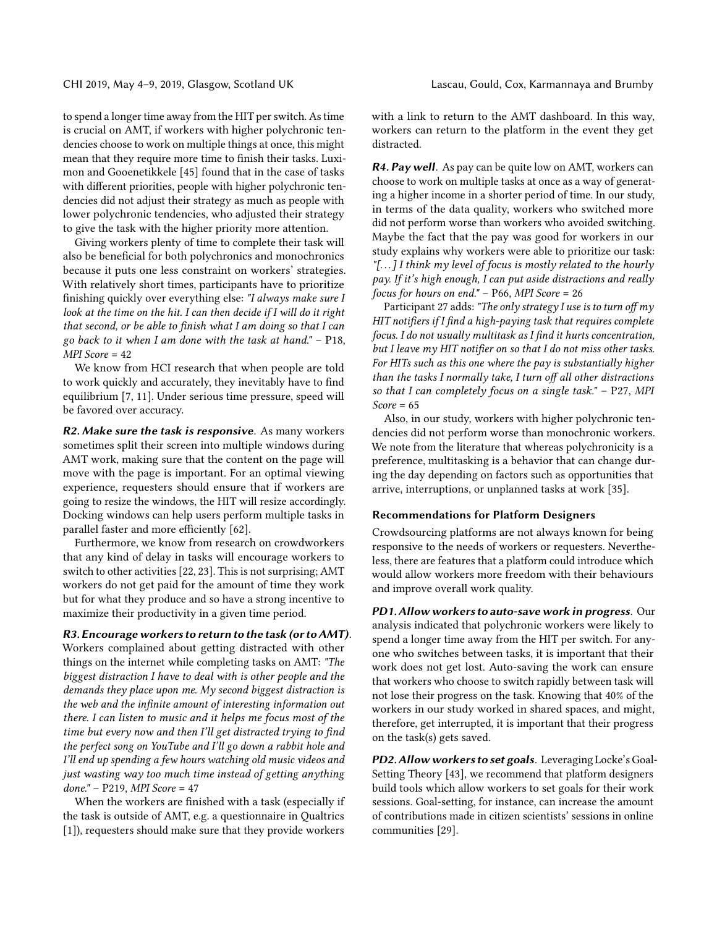to spend a longer time away from the HIT per switch. As time is crucial on AMT, if workers with higher polychronic tendencies choose to work on multiple things at once, this might mean that they require more time to finish their tasks. Luximon and Gooenetikkele [\[45\]](#page-13-27) found that in the case of tasks with different priorities, people with higher polychronic tendencies did not adjust their strategy as much as people with lower polychronic tendencies, who adjusted their strategy to give the task with the higher priority more attention.

Giving workers plenty of time to complete their task will also be beneficial for both polychronics and monochronics because it puts one less constraint on workers' strategies. With relatively short times, participants have to prioritize finishing quickly over everything else: "I always make sure I look at the time on the hit. I can then decide if I will do it right that second, or be able to finish what I am doing so that I can go back to it when I am done with the task at hand." – P18, MPI Score = 42

We know from HCI research that when people are told to work quickly and accurately, they inevitably have to find equilibrium [\[7,](#page-12-23) [11\]](#page-12-24). Under serious time pressure, speed will be favored over accuracy.

R2. Make sure the task is responsive. As many workers sometimes split their screen into multiple windows during AMT work, making sure that the content on the page will move with the page is important. For an optimal viewing experience, requesters should ensure that if workers are going to resize the windows, the HIT will resize accordingly. Docking windows can help users perform multiple tasks in parallel faster and more efficiently [\[62\]](#page-13-28).

Furthermore, we know from research on crowdworkers that any kind of delay in tasks will encourage workers to switch to other activities [\[22,](#page-12-25) [23\]](#page-12-8). This is not surprising; AMT workers do not get paid for the amount of time they work but for what they produce and so have a strong incentive to maximize their productivity in a given time period.

#### R3. Encourage workers to return to the task (or to AMT).

Workers complained about getting distracted with other things on the internet while completing tasks on AMT: "The biggest distraction I have to deal with is other people and the demands they place upon me. My second biggest distraction is the web and the infinite amount of interesting information out there. I can listen to music and it helps me focus most of the time but every now and then I'll get distracted trying to find the perfect song on YouTube and I'll go down a rabbit hole and I'll end up spending a few hours watching old music videos and just wasting way too much time instead of getting anything done." – P219, MPI Score = 47

When the workers are finished with a task (especially if the task is outside of AMT, e.g. a questionnaire in Qualtrics [\[1\]](#page-11-3)), requesters should make sure that they provide workers

with a link to return to the AMT dashboard. In this way, workers can return to the platform in the event they get distracted.

R4. Pay well. As pay can be quite low on AMT, workers can choose to work on multiple tasks at once as a way of generating a higher income in a shorter period of time. In our study, in terms of the data quality, workers who switched more did not perform worse than workers who avoided switching. Maybe the fact that the pay was good for workers in our study explains why workers were able to prioritize our task: "[ $\ldots$ ] I think my level of focus is mostly related to the hourly pay. If it's high enough, I can put aside distractions and really focus for hours on end."  $-$  P66, MPI Score = 26

Participant 27 adds: "The only strategy I use is to turn off my HIT notifiers if I find a high-paying task that requires complete focus. I do not usually multitask as I find it hurts concentration, but I leave my HIT notifier on so that I do not miss other tasks. For HITs such as this one where the pay is substantially higher than the tasks I normally take, I turn off all other distractions so that I can completely focus on a single task."  $-$  P27, MPI  $Score = 65$ 

Also, in our study, workers with higher polychronic tendencies did not perform worse than monochronic workers. We note from the literature that whereas polychronicity is a preference, multitasking is a behavior that can change during the day depending on factors such as opportunities that arrive, interruptions, or unplanned tasks at work [\[35\]](#page-12-26).

#### Recommendations for Platform Designers

Crowdsourcing platforms are not always known for being responsive to the needs of workers or requesters. Nevertheless, there are features that a platform could introduce which would allow workers more freedom with their behaviours and improve overall work quality.

PD1. Allow workers to auto-save work in progress. Our analysis indicated that polychronic workers were likely to spend a longer time away from the HIT per switch. For anyone who switches between tasks, it is important that their work does not get lost. Auto-saving the work can ensure that workers who choose to switch rapidly between task will not lose their progress on the task. Knowing that 40% of the workers in our study worked in shared spaces, and might, therefore, get interrupted, it is important that their progress on the task(s) gets saved.

PD2. Allow workers to set goals. Leveraging Locke's Goal-Setting Theory [\[43\]](#page-13-29), we recommend that platform designers build tools which allow workers to set goals for their work sessions. Goal-setting, for instance, can increase the amount of contributions made in citizen scientists' sessions in online communities [\[29\]](#page-12-27).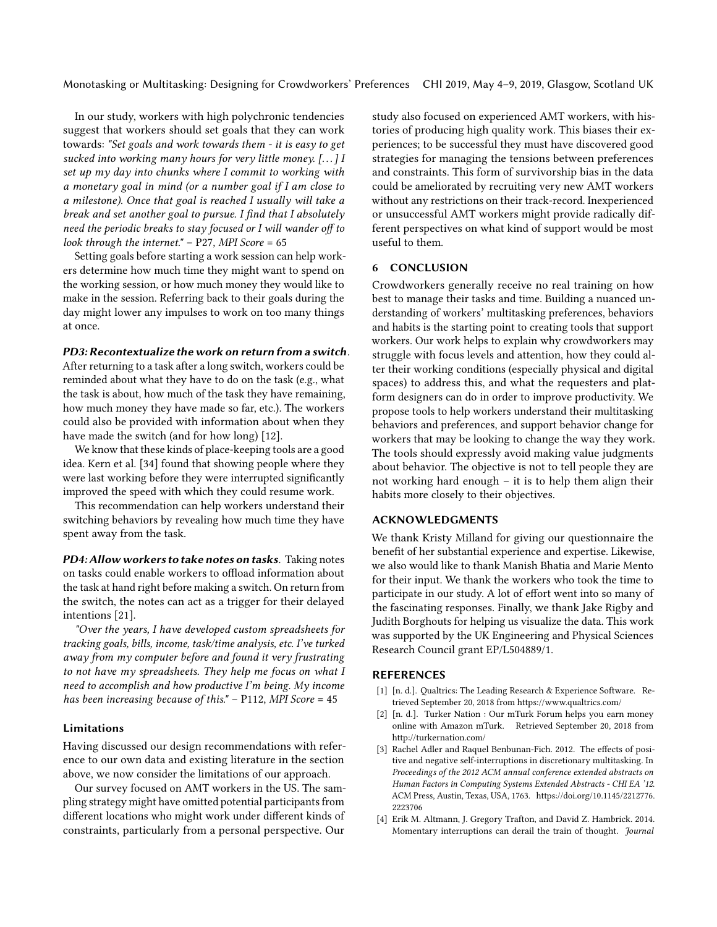In our study, workers with high polychronic tendencies suggest that workers should set goals that they can work towards: "Set goals and work towards them - it is easy to get sucked into working many hours for very little money. [. . . ] I set up my day into chunks where I commit to working with a monetary goal in mind (or a number goal if I am close to a milestone). Once that goal is reached I usually will take a break and set another goal to pursue. I find that I absolutely need the periodic breaks to stay focused or I will wander off to look through the internet."  $-$  P27, MPI Score = 65

Setting goals before starting a work session can help workers determine how much time they might want to spend on the working session, or how much money they would like to make in the session. Referring back to their goals during the day might lower any impulses to work on too many things at once.

#### PD3: Recontextualize the work on return from a switch.

After returning to a task after a long switch, workers could be reminded about what they have to do on the task (e.g., what the task is about, how much of the task they have remaining, how much money they have made so far, etc.). The workers could also be provided with information about when they have made the switch (and for how long) [\[12\]](#page-12-28).

We know that these kinds of place-keeping tools are a good idea. Kern et al. [\[34\]](#page-12-29) found that showing people where they were last working before they were interrupted significantly improved the speed with which they could resume work.

This recommendation can help workers understand their switching behaviors by revealing how much time they have spent away from the task.

PD4: Allow workers to take notes on tasks. Taking notes on tasks could enable workers to offload information about the task at hand right before making a switch. On return from the switch, the notes can act as a trigger for their delayed intentions [\[21\]](#page-12-30).

"Over the years, I have developed custom spreadsheets for tracking goals, bills, income, task/time analysis, etc. I've turked away from my computer before and found it very frustrating to not have my spreadsheets. They help me focus on what I need to accomplish and how productive I'm being. My income has been increasing because of this." – P112, MPI Score = 45

#### Limitations

Having discussed our design recommendations with reference to our own data and existing literature in the section above, we now consider the limitations of our approach.

Our survey focused on AMT workers in the US. The sampling strategy might have omitted potential participants from different locations who might work under different kinds of constraints, particularly from a personal perspective. Our

study also focused on experienced AMT workers, with histories of producing high quality work. This biases their experiences; to be successful they must have discovered good strategies for managing the tensions between preferences and constraints. This form of survivorship bias in the data could be ameliorated by recruiting very new AMT workers without any restrictions on their track-record. Inexperienced or unsuccessful AMT workers might provide radically different perspectives on what kind of support would be most useful to them.

#### 6 CONCLUSION

Crowdworkers generally receive no real training on how best to manage their tasks and time. Building a nuanced understanding of workers' multitasking preferences, behaviors and habits is the starting point to creating tools that support workers. Our work helps to explain why crowdworkers may struggle with focus levels and attention, how they could alter their working conditions (especially physical and digital spaces) to address this, and what the requesters and platform designers can do in order to improve productivity. We propose tools to help workers understand their multitasking behaviors and preferences, and support behavior change for workers that may be looking to change the way they work. The tools should expressly avoid making value judgments about behavior. The objective is not to tell people they are not working hard enough – it is to help them align their habits more closely to their objectives.

#### ACKNOWLEDGMENTS

We thank Kristy Milland for giving our questionnaire the benefit of her substantial experience and expertise. Likewise, we also would like to thank Manish Bhatia and Marie Mento for their input. We thank the workers who took the time to participate in our study. A lot of effort went into so many of the fascinating responses. Finally, we thank Jake Rigby and Judith Borghouts for helping us visualize the data. This work was supported by the UK Engineering and Physical Sciences Research Council grant EP/L504889/1.

#### **REFERENCES**

- <span id="page-11-3"></span>[1] [n. d.]. Qualtrics: The Leading Research & Experience Software. Retrieved September 20, 2018 from<https://www.qualtrics.com/>
- <span id="page-11-0"></span>[2] [n. d.]. Turker Nation : Our mTurk Forum helps you earn money online with Amazon mTurk. Retrieved September 20, 2018 from <http://turkernation.com/>
- <span id="page-11-1"></span>[3] Rachel Adler and Raquel Benbunan-Fich. 2012. The effects of positive and negative self-interruptions in discretionary multitasking. In Proceedings of the 2012 ACM annual conference extended abstracts on Human Factors in Computing Systems Extended Abstracts - CHI EA '12. ACM Press, Austin, Texas, USA, 1763. [https://doi.org/10.1145/2212776.](https://doi.org/10.1145/2212776.2223706) [2223706](https://doi.org/10.1145/2212776.2223706)
- <span id="page-11-2"></span>[4] Erik M. Altmann, J. Gregory Trafton, and David Z. Hambrick. 2014. Momentary interruptions can derail the train of thought. Journal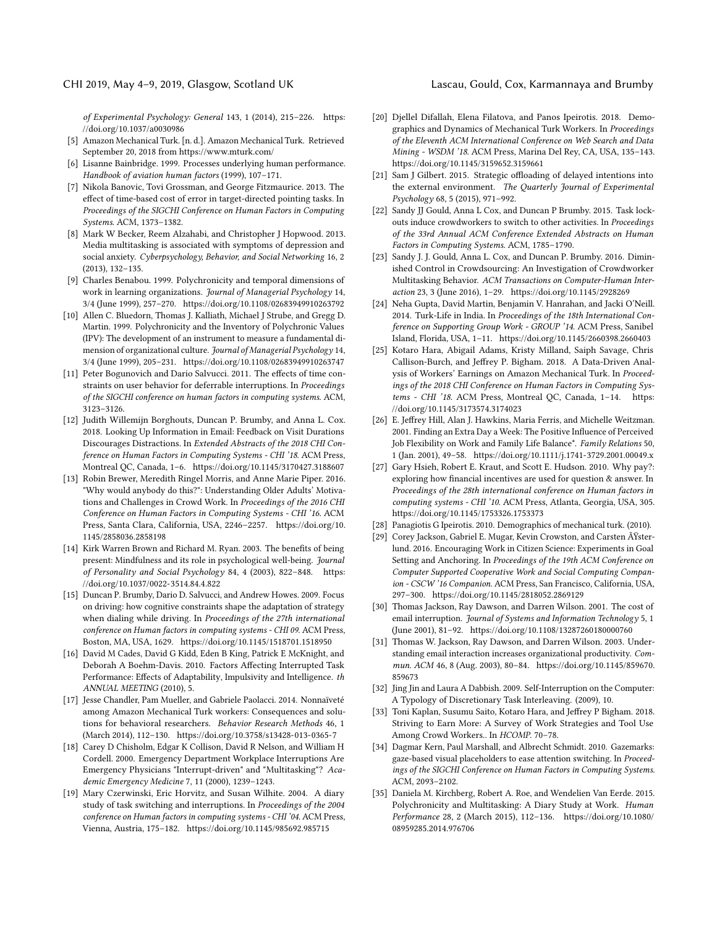#### CHI 2019, May 4–9, 2019, Glasgow, Scotland UK Lascau, Gould, Cox, Karmannaya and Brumby

of Experimental Psychology: General 143, 1 (2014), 215–226. [https:](https://doi.org/10.1037/a0030986) [//doi.org/10.1037/a0030986](https://doi.org/10.1037/a0030986)

- <span id="page-12-0"></span>[5] Amazon Mechanical Turk. [n. d.]. Amazon Mechanical Turk. Retrieved September 20, 2018 from<https://www.mturk.com/>
- <span id="page-12-4"></span>[6] Lisanne Bainbridge. 1999. Processes underlying human performance. Handbook of aviation human factors (1999), 107–171.
- <span id="page-12-23"></span>[7] Nikola Banovic, Tovi Grossman, and George Fitzmaurice. 2013. The effect of time-based cost of error in target-directed pointing tasks. In Proceedings of the SIGCHI Conference on Human Factors in Computing Systems. ACM, 1373–1382.
- <span id="page-12-7"></span>[8] Mark W Becker, Reem Alzahabi, and Christopher J Hopwood. 2013. Media multitasking is associated with symptoms of depression and social anxiety. Cyberpsychology, Behavior, and Social Networking 16, 2 (2013), 132–135.
- <span id="page-12-13"></span>[9] Charles Benabou. 1999. Polychronicity and temporal dimensions of work in learning organizations. Journal of Managerial Psychology 14, 3/4 (June 1999), 257–270.<https://doi.org/10.1108/02683949910263792>
- <span id="page-12-11"></span>[10] Allen C. Bluedorn, Thomas J. Kalliath, Michael J Strube, and Gregg D. Martin. 1999. Polychronicity and the Inventory of Polychronic Values (IPV): The development of an instrument to measure a fundamental dimension of organizational culture. Journal of Managerial Psychology 14, 3/4 (June 1999), 205–231.<https://doi.org/10.1108/02683949910263747>
- <span id="page-12-24"></span>[11] Peter Bogunovich and Dario Salvucci. 2011. The effects of time constraints on user behavior for deferrable interruptions. In Proceedings of the SIGCHI conference on human factors in computing systems. ACM, 3123–3126.
- <span id="page-12-28"></span>[12] Judith Willemijn Borghouts, Duncan P. Brumby, and Anna L. Cox. 2018. Looking Up Information in Email: Feedback on Visit Durations Discourages Distractions. In Extended Abstracts of the 2018 CHI Conference on Human Factors in Computing Systems - CHI '18. ACM Press, Montreal QC, Canada, 1–6.<https://doi.org/10.1145/3170427.3188607>
- <span id="page-12-2"></span>[13] Robin Brewer, Meredith Ringel Morris, and Anne Marie Piper. 2016. "Why would anybody do this?": Understanding Older Adults' Motivations and Challenges in Crowd Work. In Proceedings of the 2016 CHI Conference on Human Factors in Computing Systems - CHI '16. ACM Press, Santa Clara, California, USA, 2246–2257. [https://doi.org/10.](https://doi.org/10.1145/2858036.2858198) [1145/2858036.2858198](https://doi.org/10.1145/2858036.2858198)
- <span id="page-12-22"></span>[14] Kirk Warren Brown and Richard M. Ryan. 2003. The benefits of being present: Mindfulness and its role in psychological well-being. Journal of Personality and Social Psychology 84, 4 (2003), 822–848. [https:](https://doi.org/10.1037/0022-3514.84.4.822) [//doi.org/10.1037/0022-3514.84.4.822](https://doi.org/10.1037/0022-3514.84.4.822)
- <span id="page-12-1"></span>[15] Duncan P. Brumby, Dario D. Salvucci, and Andrew Howes. 2009. Focus on driving: how cognitive constraints shape the adaptation of strategy when dialing while driving. In Proceedings of the 27th international conference on Human factors in computing systems - CHI 09. ACM Press, Boston, MA, USA, 1629.<https://doi.org/10.1145/1518701.1518950>
- <span id="page-12-10"></span>[16] David M Cades, David G Kidd, Eden B King, Patrick E McKnight, and Deborah A Boehm-Davis. 2010. Factors Affecting Interrupted Task Performance: Effects of Adaptability, Impulsivity and Intelligence. th ANNUAL MEETING (2010), 5.
- <span id="page-12-9"></span>[17] Jesse Chandler, Pam Mueller, and Gabriele Paolacci. 2014. Nonnaïveté among Amazon Mechanical Turk workers: Consequences and solutions for behavioral researchers. Behavior Research Methods 46, 1 (March 2014), 112–130.<https://doi.org/10.3758/s13428-013-0365-7>
- <span id="page-12-5"></span>[18] Carey D Chisholm, Edgar K Collison, David R Nelson, and William H Cordell. 2000. Emergency Department Workplace Interruptions Are Emergency Physicians "Interrupt-driven" and "Multitasking"? Academic Emergency Medicine 7, 11 (2000), 1239–1243.
- <span id="page-12-6"></span>[19] Mary Czerwinski, Eric Horvitz, and Susan Wilhite. 2004. A diary study of task switching and interruptions. In Proceedings of the 2004 conference on Human factors in computing systems - CHI '04. ACM Press, Vienna, Austria, 175–182.<https://doi.org/10.1145/985692.985715>
- <span id="page-12-20"></span>[20] Djellel Difallah, Elena Filatova, and Panos Ipeirotis. 2018. Demographics and Dynamics of Mechanical Turk Workers. In Proceedings of the Eleventh ACM International Conference on Web Search and Data Mining - WSDM '18. ACM Press, Marina Del Rey, CA, USA, 135–143. <https://doi.org/10.1145/3159652.3159661>
- <span id="page-12-30"></span>[21] Sam J Gilbert. 2015. Strategic offloading of delayed intentions into the external environment. The Quarterly Journal of Experimental Psychology 68, 5 (2015), 971–992.
- <span id="page-12-25"></span>[22] Sandy JJ Gould, Anna L Cox, and Duncan P Brumby. 2015. Task lockouts induce crowdworkers to switch to other activities. In Proceedings of the 33rd Annual ACM Conference Extended Abstracts on Human Factors in Computing Systems. ACM, 1785–1790.
- <span id="page-12-8"></span>[23] Sandy J. J. Gould, Anna L. Cox, and Duncan P. Brumby. 2016. Diminished Control in Crowdsourcing: An Investigation of Crowdworker Multitasking Behavior. ACM Transactions on Computer-Human Interaction 23, 3 (June 2016), 1–29.<https://doi.org/10.1145/2928269>
- <span id="page-12-3"></span>[24] Neha Gupta, David Martin, Benjamin V. Hanrahan, and Jacki O'Neill. 2014. Turk-Life in India. In Proceedings of the 18th International Conference on Supporting Group Work - GROUP '14. ACM Press, Sanibel Island, Florida, USA, 1–11.<https://doi.org/10.1145/2660398.2660403>
- <span id="page-12-18"></span>[25] Kotaro Hara, Abigail Adams, Kristy Milland, Saiph Savage, Chris Callison-Burch, and Jeffrey P. Bigham. 2018. A Data-Driven Analysis of Workers' Earnings on Amazon Mechanical Turk. In Proceedings of the 2018 CHI Conference on Human Factors in Computing Systems - CHI '18. ACM Press, Montreal QC, Canada, 1–14. [https:](https://doi.org/10.1145/3173574.3174023) [//doi.org/10.1145/3173574.3174023](https://doi.org/10.1145/3173574.3174023)
- <span id="page-12-12"></span>[26] E. Jeffrey Hill, Alan J. Hawkins, Maria Ferris, and Michelle Weitzman. 2001. Finding an Extra Day a Week: The Positive Influence of Perceived Job Flexibility on Work and Family Life Balance\*. Family Relations 50, 1 (Jan. 2001), 49–58.<https://doi.org/10.1111/j.1741-3729.2001.00049.x>
- <span id="page-12-16"></span>[27] Gary Hsieh, Robert E. Kraut, and Scott E. Hudson. 2010. Why pay?: exploring how financial incentives are used for question & answer. In Proceedings of the 28th international conference on Human factors in computing systems - CHI '10. ACM Press, Atlanta, Georgia, USA, 305. <https://doi.org/10.1145/1753326.1753373>
- <span id="page-12-21"></span>[28] Panagiotis G Ipeirotis. 2010. Demographics of mechanical turk. (2010).
- <span id="page-12-27"></span>[29] Corey Jackson, Gabriel E. Mugar, Kevin Crowston, and Carsten ÄŸsterlund. 2016. Encouraging Work in Citizen Science: Experiments in Goal Setting and Anchoring. In Proceedings of the 19th ACM Conference on Computer Supported Cooperative Work and Social Computing Companion - CSCW '16 Companion. ACM Press, San Francisco, California, USA, 297–300.<https://doi.org/10.1145/2818052.2869129>
- <span id="page-12-14"></span>[30] Thomas Jackson, Ray Dawson, and Darren Wilson. 2001. The cost of email interruption. Journal of Systems and Information Technology 5, 1 (June 2001), 81–92.<https://doi.org/10.1108/13287260180000760>
- <span id="page-12-15"></span>[31] Thomas W. Jackson, Ray Dawson, and Darren Wilson. 2003. Understanding email interaction increases organizational productivity. Commun. ACM 46, 8 (Aug. 2003), 80–84. [https://doi.org/10.1145/859670.](https://doi.org/10.1145/859670.859673) [859673](https://doi.org/10.1145/859670.859673)
- <span id="page-12-17"></span>[32] Jing Jin and Laura A Dabbish. 2009. Self-Interruption on the Computer: A Typology of Discretionary Task Interleaving. (2009), 10.
- <span id="page-12-19"></span>[33] Toni Kaplan, Susumu Saito, Kotaro Hara, and Jeffrey P Bigham. 2018. Striving to Earn More: A Survey of Work Strategies and Tool Use Among Crowd Workers.. In HCOMP. 70–78.
- <span id="page-12-29"></span>[34] Dagmar Kern, Paul Marshall, and Albrecht Schmidt. 2010. Gazemarks: gaze-based visual placeholders to ease attention switching. In Proceedings of the SIGCHI Conference on Human Factors in Computing Systems. ACM, 2093–2102.
- <span id="page-12-26"></span>[35] Daniela M. Kirchberg, Robert A. Roe, and Wendelien Van Eerde. 2015. Polychronicity and Multitasking: A Diary Study at Work. Human Performance 28, 2 (March 2015), 112–136. [https://doi.org/10.1080/](https://doi.org/10.1080/08959285.2014.976706) [08959285.2014.976706](https://doi.org/10.1080/08959285.2014.976706)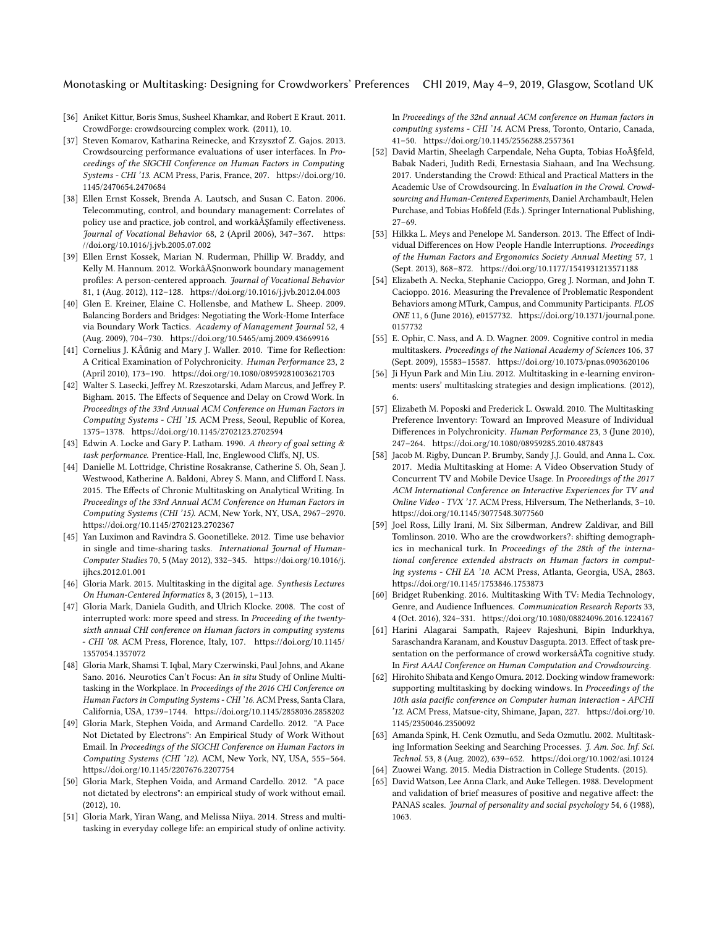#### Monotasking or Multitasking: Designing for Crowdworkers' Preferences CHI 2019, May 4–9, 2019, Glasgow, Scotland UK

- <span id="page-13-17"></span>[36] Aniket Kittur, Boris Smus, Susheel Khamkar, and Robert E Kraut. 2011. CrowdForge: crowdsourcing complex work. (2011), 10.
- <span id="page-13-15"></span>[37] Steven Komarov, Katharina Reinecke, and Krzysztof Z. Gajos. 2013. Crowdsourcing performance evaluations of user interfaces. In Proceedings of the SIGCHI Conference on Human Factors in Computing Systems - CHI '13. ACM Press, Paris, France, 207. [https://doi.org/10.](https://doi.org/10.1145/2470654.2470684) [1145/2470654.2470684](https://doi.org/10.1145/2470654.2470684)
- <span id="page-13-14"></span>[38] Ellen Ernst Kossek, Brenda A. Lautsch, and Susan C. Eaton. 2006. Telecommuting, control, and boundary management: Correlates of policy use and practice, job control, and workâĂŞfamily effectiveness. Journal of Vocational Behavior 68, 2 (April 2006), 347–367. [https:](https://doi.org/10.1016/j.jvb.2005.07.002) [//doi.org/10.1016/j.jvb.2005.07.002](https://doi.org/10.1016/j.jvb.2005.07.002)
- <span id="page-13-13"></span>[39] Ellen Ernst Kossek, Marian N. Ruderman, Phillip W. Braddy, and Kelly M. Hannum. 2012. WorkâĂŞnonwork boundary management profiles: A person-centered approach. Journal of Vocational Behavior 81, 1 (Aug. 2012), 112–128.<https://doi.org/10.1016/j.jvb.2012.04.003>
- <span id="page-13-12"></span>[40] Glen E. Kreiner, Elaine C. Hollensbe, and Mathew L. Sheep. 2009. Balancing Borders and Bridges: Negotiating the Work-Home Interface via Boundary Work Tactics. Academy of Management Journal 52, 4 (Aug. 2009), 704–730.<https://doi.org/10.5465/amj.2009.43669916>
- <span id="page-13-10"></span>[41] Cornelius J. KÃűnig and Mary J. Waller. 2010. Time for Reflection: A Critical Examination of Polychronicity. Human Performance 23, 2 (April 2010), 173–190.<https://doi.org/10.1080/08959281003621703>
- <span id="page-13-19"></span>[42] Walter S. Lasecki, Jeffrey M. Rzeszotarski, Adam Marcus, and Jeffrey P. Bigham. 2015. The Effects of Sequence and Delay on Crowd Work. In Proceedings of the 33rd Annual ACM Conference on Human Factors in Computing Systems - CHI '15. ACM Press, Seoul, Republic of Korea, 1375–1378.<https://doi.org/10.1145/2702123.2702594>
- <span id="page-13-29"></span>[43] Edwin A. Locke and Gary P. Latham. 1990. A theory of goal setting & task performance. Prentice-Hall, Inc, Englewood Cliffs, NJ, US.
- <span id="page-13-4"></span>[44] Danielle M. Lottridge, Christine Rosakranse, Catherine S. Oh, Sean J. Westwood, Katherine A. Baldoni, Abrey S. Mann, and Clifford I. Nass. 2015. The Effects of Chronic Multitasking on Analytical Writing. In Proceedings of the 33rd Annual ACM Conference on Human Factors in Computing Systems (CHI '15). ACM, New York, NY, USA, 2967–2970. <https://doi.org/10.1145/2702123.2702367>
- <span id="page-13-27"></span>[45] Yan Luximon and Ravindra S. Goonetilleke. 2012. Time use behavior in single and time-sharing tasks. International Journal of Human-Computer Studies 70, 5 (May 2012), 332–345. [https://doi.org/10.1016/j.](https://doi.org/10.1016/j.ijhcs.2012.01.001) [ijhcs.2012.01.001](https://doi.org/10.1016/j.ijhcs.2012.01.001)
- <span id="page-13-11"></span>[46] Gloria Mark. 2015. Multitasking in the digital age. Synthesis Lectures On Human-Centered Informatics 8, 3 (2015), 1–113.
- <span id="page-13-9"></span>[47] Gloria Mark, Daniela Gudith, and Ulrich Klocke. 2008. The cost of interrupted work: more speed and stress. In Proceeding of the twentysixth annual CHI conference on Human factors in computing systems - CHI '08. ACM Press, Florence, Italy, 107. [https://doi.org/10.1145/](https://doi.org/10.1145/1357054.1357072) [1357054.1357072](https://doi.org/10.1145/1357054.1357072)
- <span id="page-13-1"></span>[48] Gloria Mark, Shamsi T. Iqbal, Mary Czerwinski, Paul Johns, and Akane Sano. 2016. Neurotics Can't Focus: An in situ Study of Online Multitasking in the Workplace. In Proceedings of the 2016 CHI Conference on Human Factors in Computing Systems - CHI '16. ACM Press, Santa Clara, California, USA, 1739–1744.<https://doi.org/10.1145/2858036.2858202>
- <span id="page-13-24"></span>[49] Gloria Mark, Stephen Voida, and Armand Cardello. 2012. "A Pace Not Dictated by Electrons": An Empirical Study of Work Without Email. In Proceedings of the SIGCHI Conference on Human Factors in Computing Systems (CHI '12). ACM, New York, NY, USA, 555–564. <https://doi.org/10.1145/2207676.2207754>
- <span id="page-13-26"></span>[50] Gloria Mark, Stephen Voida, and Armand Cardello. 2012. "A pace not dictated by electrons": an empirical study of work without email. (2012), 10.
- <span id="page-13-2"></span>[51] Gloria Mark, Yiran Wang, and Melissa Niiya. 2014. Stress and multitasking in everyday college life: an empirical study of online activity.

In Proceedings of the 32nd annual ACM conference on Human factors in computing systems - CHI '14. ACM Press, Toronto, Ontario, Canada, 41–50.<https://doi.org/10.1145/2556288.2557361>

- <span id="page-13-3"></span>[52] David Martin, Sheelagh Carpendale, Neha Gupta, Tobias Hoçfeld, Babak Naderi, Judith Redi, Ernestasia Siahaan, and Ina Wechsung. 2017. Understanding the Crowd: Ethical and Practical Matters in the Academic Use of Crowdsourcing. In Evaluation in the Crowd. Crowdsourcing and Human-Centered Experiments, Daniel Archambault, Helen Purchase, and Tobias Hoßfeld (Eds.). Springer International Publishing,  $27 - 69.$
- <span id="page-13-6"></span>[53] Hilkka L. Meys and Penelope M. Sanderson. 2013. The Effect of Individual Differences on How People Handle Interruptions. Proceedings of the Human Factors and Ergonomics Society Annual Meeting 57, 1 (Sept. 2013), 868–872.<https://doi.org/10.1177/1541931213571188>
- <span id="page-13-5"></span>[54] Elizabeth A. Necka, Stephanie Cacioppo, Greg J. Norman, and John T. Cacioppo. 2016. Measuring the Prevalence of Problematic Respondent Behaviors among MTurk, Campus, and Community Participants. PLOS ONE 11, 6 (June 2016), e0157732. [https://doi.org/10.1371/journal.pone.](https://doi.org/10.1371/journal.pone.0157732) [0157732](https://doi.org/10.1371/journal.pone.0157732)
- <span id="page-13-7"></span>[55] E. Ophir, C. Nass, and A. D. Wagner. 2009. Cognitive control in media multitaskers. Proceedings of the National Academy of Sciences 106, 37 (Sept. 2009), 15583–15587.<https://doi.org/10.1073/pnas.0903620106>
- <span id="page-13-25"></span>[56] Ji Hyun Park and Min Liu. 2012. Multitasking in e-learning environments: users' multitasking strategies and design implications. (2012), 6.
- <span id="page-13-0"></span>[57] Elizabeth M. Poposki and Frederick L. Oswald. 2010. The Multitasking Preference Inventory: Toward an Improved Measure of Individual Differences in Polychronicity. Human Performance 23, 3 (June 2010), 247–264.<https://doi.org/10.1080/08959285.2010.487843>
- <span id="page-13-8"></span>[58] Jacob M. Rigby, Duncan P. Brumby, Sandy J.J. Gould, and Anna L. Cox. 2017. Media Multitasking at Home: A Video Observation Study of Concurrent TV and Mobile Device Usage. In Proceedings of the 2017 ACM International Conference on Interactive Experiences for TV and Online Video - TVX '17. ACM Press, Hilversum, The Netherlands, 3–10. <https://doi.org/10.1145/3077548.3077560>
- <span id="page-13-20"></span>[59] Joel Ross, Lilly Irani, M. Six Silberman, Andrew Zaldivar, and Bill Tomlinson. 2010. Who are the crowdworkers?: shifting demographics in mechanical turk. In Proceedings of the 28th of the international conference extended abstracts on Human factors in computing systems - CHI EA '10. ACM Press, Atlanta, Georgia, USA, 2863. <https://doi.org/10.1145/1753846.1753873>
- <span id="page-13-23"></span>[60] Bridget Rubenking. 2016. Multitasking With TV: Media Technology, Genre, and Audience Influences. Communication Research Reports 33, 4 (Oct. 2016), 324–331.<https://doi.org/10.1080/08824096.2016.1224167>
- <span id="page-13-16"></span>[61] Harini Alagarai Sampath, Rajeev Rajeshuni, Bipin Indurkhya, Saraschandra Karanam, and Koustuv Dasgupta. 2013. Effect of task presentation on the performance of crowd workersâĂŤa cognitive study. In First AAAI Conference on Human Computation and Crowdsourcing.
- <span id="page-13-28"></span>[62] Hirohito Shibata and Kengo Omura. 2012. Docking window framework: supporting multitasking by docking windows. In Proceedings of the 10th asia pacific conference on Computer human interaction - APCHI '12. ACM Press, Matsue-city, Shimane, Japan, 227. [https://doi.org/10.](https://doi.org/10.1145/2350046.2350092) [1145/2350046.2350092](https://doi.org/10.1145/2350046.2350092)
- <span id="page-13-18"></span>[63] Amanda Spink, H. Cenk Ozmutlu, and Seda Ozmutlu. 2002. Multitasking Information Seeking and Searching Processes. J. Am. Soc. Inf. Sci. Technol. 53, 8 (Aug. 2002), 639–652.<https://doi.org/10.1002/asi.10124>
- <span id="page-13-22"></span>[64] Zuowei Wang. 2015. Media Distraction in College Students. (2015).
- <span id="page-13-21"></span>[65] David Watson, Lee Anna Clark, and Auke Tellegen. 1988. Development and validation of brief measures of positive and negative affect: the PANAS scales. Journal of personality and social psychology 54, 6 (1988), 1063.